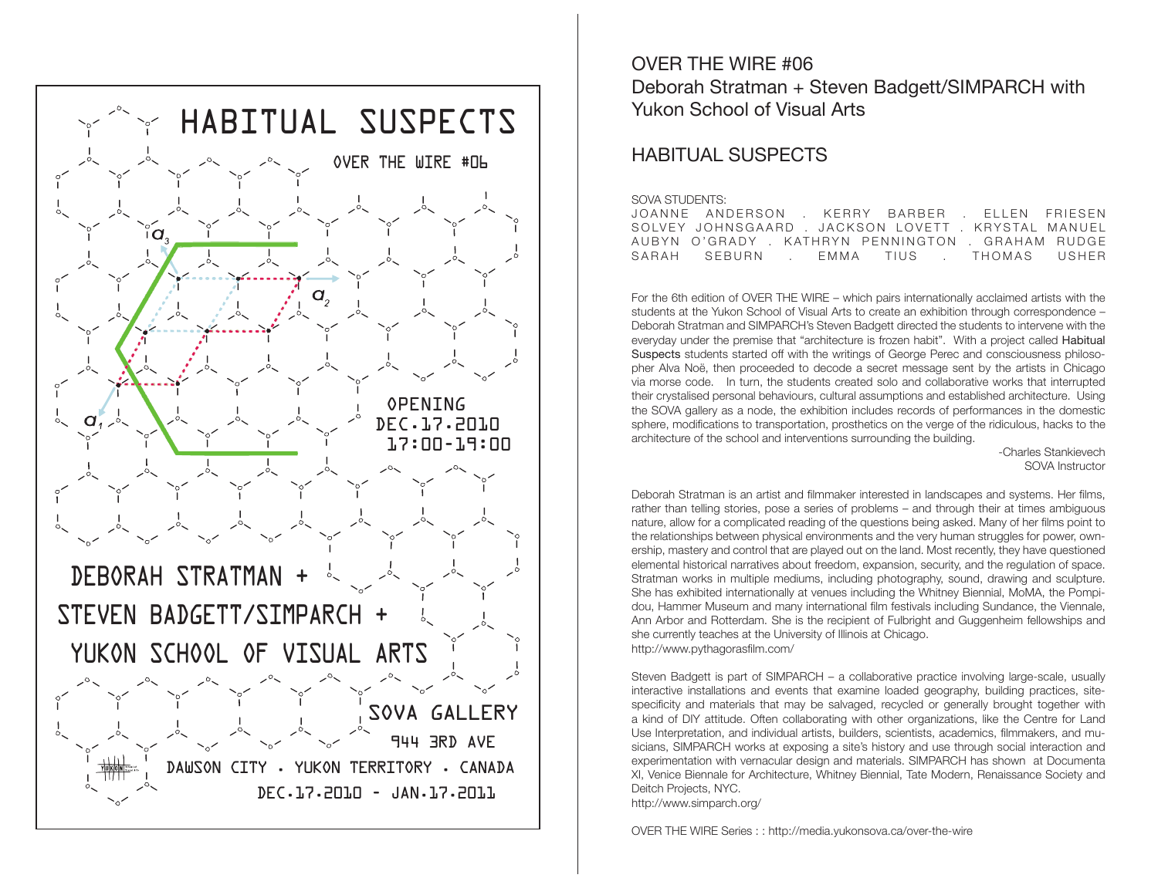

OVER THE WIRE #06 Deborah Stratman + Steven Badgett/SIMPARCH with Yukon School of Visual Arts

## HABITUAL SUSPECTS

## SOVA STUDENTS:

JOANNE ANDERSON . KERRY BARBER . ELLEN FRIESEN SOLVEY JOHNSGAARD . JACKSON LOVETT . KRYSTAL MANUEL AUBYN O'GRADY . KATHRYN PENNINGTON . GRAHAM RUDGE SARAH SEBURN . EMMA TIUS . THOMAS USHER

For the 6th edition of OVER THE WIRE – which pairs internationally acclaimed artists with the students at the Yukon School of Visual Arts to create an exhibition through correspondence – Deborah Stratman and SIMPARCH's Steven Badgett directed the students to intervene with the everyday under the premise that "architecture is frozen habit". With a project called Habitual Suspects students started off with the writings of George Perec and consciousness philosopher Alva Noë, then proceeded to decode a secret message sent by the artists in Chicago via morse code. In turn, the students created solo and collaborative works that interrupted their crystalised personal behaviours, cultural assumptions and established architecture. Using the SOVA gallery as a node, the exhibition includes records of performances in the domestic sphere, modifications to transportation, prosthetics on the verge of the ridiculous, hacks to the architecture of the school and interventions surrounding the building.

> -Charles Stankievech SOVA Instructor

Deborah Stratman is an artist and filmmaker interested in landscapes and systems. Her films, rather than telling stories, pose a series of problems – and through their at times ambiguous nature, allow for a complicated reading of the questions being asked. Many of her films point to the relationships between physical environments and the very human struggles for power, ownership, mastery and control that are played out on the land. Most recently, they have questioned elemental historical narratives about freedom, expansion, security, and the regulation of space. Stratman works in multiple mediums, including photography, sound, drawing and sculpture. She has exhibited internationally at venues including the Whitney Biennial, MoMA, the Pompidou, Hammer Museum and many international film festivals including Sundance, the Viennale, Ann Arbor and Rotterdam. She is the recipient of Fulbright and Guggenheim fellowships and she currently teaches at the University of Illinois at Chicago. http://www.pythagorasfilm.com/

Steven Badgett is part of SIMPARCH – a collaborative practice involving large-scale, usually interactive installations and events that examine loaded geography, building practices, sitespecificity and materials that may be salvaged, recycled or generally brought together with a kind of DIY attitude. Often collaborating with other organizations, like the Centre for Land Use Interpretation, and individual artists, builders, scientists, academics, filmmakers, and musicians, SIMPARCH works at exposing a site's history and use through social interaction and experimentation with vernacular design and materials. SIMPARCH has shown at Documenta XI, Venice Biennale for Architecture, Whitney Biennial, Tate Modern, Renaissance Society and Deitch Projects, NYC. http://www.simparch.org/

OVER THE WIRE Series : : http://media.yukonsova.ca/over-the-wire